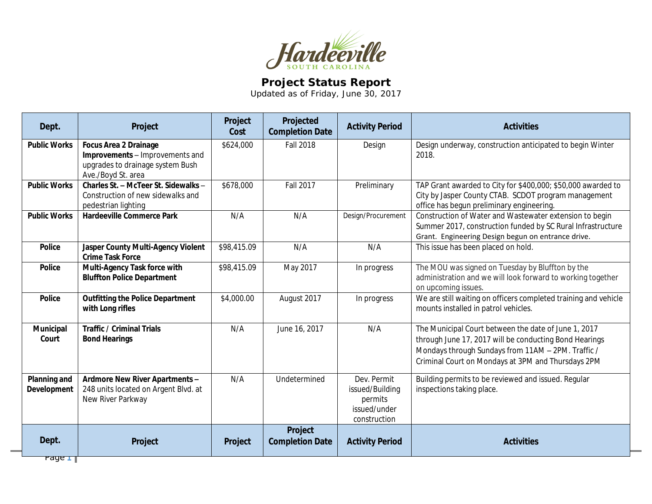

## **Project Status Report**

Updated as of Friday, June 30, 2017

| Dept.                       | Project                                                                                                                   | Project<br>Cost | Projected<br><b>Completion Date</b> | <b>Activity Period</b>                                                    | <b>Activities</b>                                                                                                                                                                                                          |
|-----------------------------|---------------------------------------------------------------------------------------------------------------------------|-----------------|-------------------------------------|---------------------------------------------------------------------------|----------------------------------------------------------------------------------------------------------------------------------------------------------------------------------------------------------------------------|
| <b>Public Works</b>         | <b>Focus Area 2 Drainage</b><br>Improvements - Improvements and<br>upgrades to drainage system Bush<br>Ave./Boyd St. area | \$624,000       | <b>Fall 2018</b>                    | Design                                                                    | Design underway, construction anticipated to begin Winter<br>2018.                                                                                                                                                         |
| <b>Public Works</b>         | Charles St. - McTeer St. Sidewalks -<br>Construction of new sidewalks and<br>pedestrian lighting                          | \$678,000       | <b>Fall 2017</b>                    | Preliminary                                                               | TAP Grant awarded to City for \$400,000; \$50,000 awarded to<br>City by Jasper County CTAB. SCDOT program management<br>office has begun preliminary engineering.                                                          |
| <b>Public Works</b>         | <b>Hardeeville Commerce Park</b>                                                                                          | N/A             | N/A                                 | Design/Procurement                                                        | Construction of Water and Wastewater extension to begin<br>Summer 2017, construction funded by SC Rural Infrastructure<br>Grant. Engineering Design begun on entrance drive.                                               |
| <b>Police</b>               | Jasper County Multi-Agency Violent<br><b>Crime Task Force</b>                                                             | \$98,415.09     | N/A                                 | N/A                                                                       | This issue has been placed on hold.                                                                                                                                                                                        |
| <b>Police</b>               | Multi-Agency Task force with<br><b>Bluffton Police Department</b>                                                         | \$98,415.09     | May 2017                            | In progress                                                               | The MOU was signed on Tuesday by Bluffton by the<br>administration and we will look forward to working together<br>on upcoming issues.                                                                                     |
| <b>Police</b>               | <b>Outfitting the Police Department</b><br>with Long rifles                                                               | \$4,000.00      | August 2017                         | In progress                                                               | We are still waiting on officers completed training and vehicle<br>mounts installed in patrol vehicles.                                                                                                                    |
| Municipal<br>Court          | <b>Traffic / Criminal Trials</b><br><b>Bond Hearings</b>                                                                  | N/A             | June 16, 2017                       | N/A                                                                       | The Municipal Court between the date of June 1, 2017<br>through June 17, 2017 will be conducting Bond Hearings<br>Mondays through Sundays from 11AM - 2PM. Traffic /<br>Criminal Court on Mondays at 3PM and Thursdays 2PM |
| Planning and<br>Development | Ardmore New River Apartments -<br>248 units located on Argent Blvd. at<br>New River Parkway                               | N/A             | Undetermined                        | Dev. Permit<br>issued/Building<br>permits<br>issued/under<br>construction | Building permits to be reviewed and issued. Regular<br>inspections taking place.                                                                                                                                           |
| Dept.                       | Project                                                                                                                   | Project         | Project<br><b>Completion Date</b>   | <b>Activity Period</b>                                                    | <b>Activities</b>                                                                                                                                                                                                          |

Page **1**